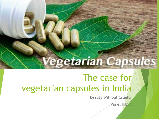# The case for vegetarian capsules in India

Beauty Without Cruelty

**/egetarian Capsules** 

Pune, INDIA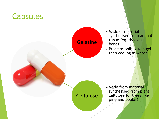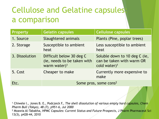# **Cellulose and Gelatine capsules** a comparison

| <b>Property</b> | <b>Gelatin capsules</b>                                                    | Cellulose capsules                                                                     |
|-----------------|----------------------------------------------------------------------------|----------------------------------------------------------------------------------------|
| 1. Source       | Slaughtered animals                                                        | Plants (Pine, poplar trees)                                                            |
| 2. Storage      | Susceptible to ambient<br>heat                                             | Less susceptible to ambient<br>heat                                                    |
| 3. Dissolution  | Difficult below 30 deg C<br>(ie, needs to be taken with<br>warm water) $1$ | Soluble down to 10 deg C (ie,<br>can be taken with warm OR<br>cold water) <sup>1</sup> |
| 5. Cost         | Cheaper to make                                                            | Currently more expensive to<br>make                                                    |
| Etc.            | Some pros, some cons <sup>2</sup>                                          |                                                                                        |

<sup>1</sup> Chiwele I., Jones B. E., Podczeck F., *The shell dissolution of various empty hard capsules, Chem Pharm Bull (Tokyo), 48 (7), p951-6, Jul 2000* <sup>2</sup> Moawia Al-Tabakha, *HPMC Capsules: Current Status and Future Prospects*, J Pharm Pharmaceut Sci 13(3), p428-44, 2010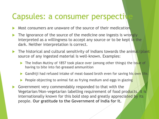#### Capsules: a consumer perspective

- Most consumers are unaware of the source of their medication.
- The ignorance of the source of the medicine one ingests is wrongly interpreted as a willingness to accept any source or to be kept in the dark. Neither interpretation is correct.
- The historical and cultural sensitivity of Indians towards the animal/plant source of any ingested material is well-known. Examples:
	- The Indian Mutiny of 1857 took place over (among other things) the issue of having to bite into fat-greased ammunition
	- Gandhiji had refused intake of meat-based broth even for saving his own life.
	- People objecting to animal fat as frying medium and eggs in glazing
- Government very commendably responded to that with the Vegetarian/Non-vegetarian labelling requirement of food products. It is internationally known for this bold step and greatly appreciated by its people. **Our gratitude to the Government of India for it.**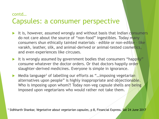#### contd…

#### Capsules: a consumer perspective

- It is, however, assumed wrongly and without basis that Indian consumers do not care about the source of "non-food" ingestibles. Today many consumers shun ethically tainted materials – edible or non-edible – like varakh, leather, silk, and animal-derived or animal-tested cosmetics, and even experiences like circuses.
- It is wrongly assumed by government bodies that consumers "happily" consume whatever the doctor orders. Or that doctors happily order slaughter-derived medicines. Everyone is simple in ignorance.
- ▶ Media language<sup>1</sup> of labelling our efforts as "...imposing vegetarian alternatives upon people" is highly inappropriate and objectionable. Who is imposing upon whom?! Today non-veg capsule shells are being imposed upon vegetarians who would rather not take them.

<sup>1</sup> Sidhharth Shankar, *Vegetative about vegetarian capsules*, p 8, Financial Express, Sat 24 June 2017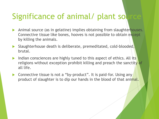### Significance of animal/ plant sold

- Animal source (as in gelatine) implies obtaining from slaughterhouses. Connective tissue like bones, hooves is not possible to obtain except by killing the animals.
- Slaughterhouse death is deliberate, premeditated, cold-blooded, brutal.
- Indian consciences are highly tuned to this aspect of ethics. All its religions without exception prohibit killing and preach the sanctity of all life.
- ▶ Connective tissue is not a "by-product". It is paid-for. Using any product of slaughter is to dip our hands in the blood of that animal.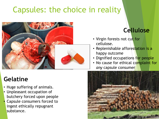# Capsules: the choice in reality



#### **Cellulose**

- Virgin forests not cut for cellulose.
- Replenishable afforestation is a happy outcome
- Dignified occupations for people
- No cause for ethical complaint for *any* capsule consumer

#### **Gelatine**

- Huge suffering of animals.
- Unpleasant occupation of butchery forced upon people
- Capsule consumers forced to ingest ethically repugnant substance.